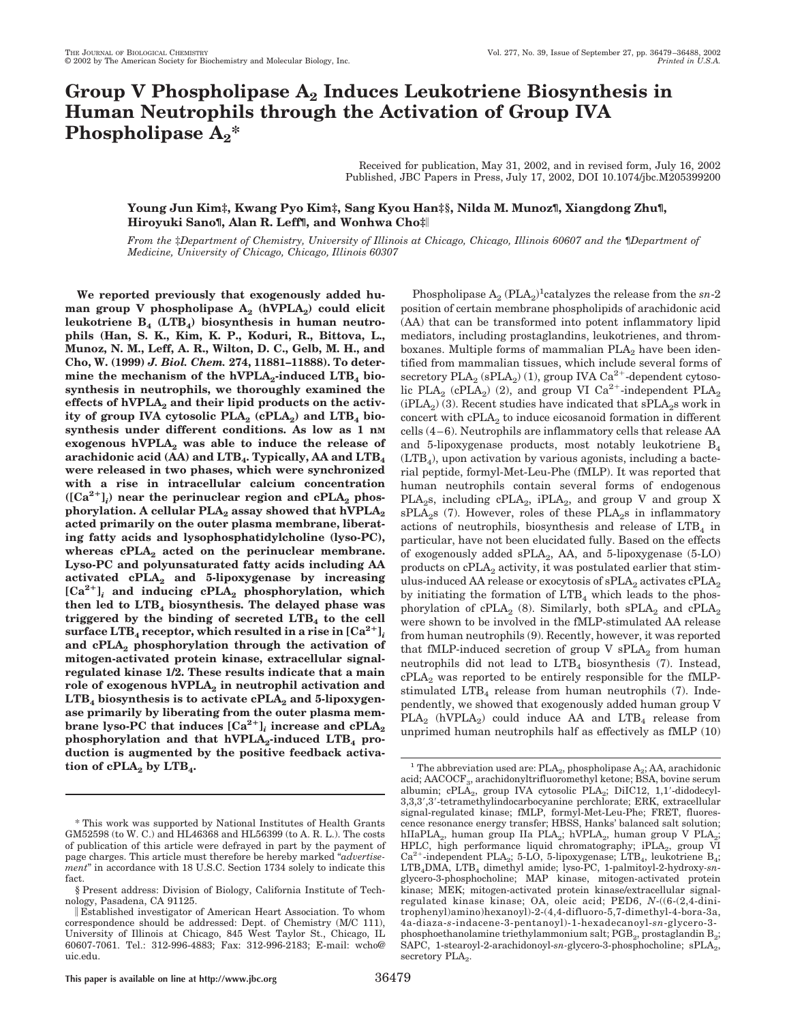# **Group V Phospholipase A2 Induces Leukotriene Biosynthesis in Human Neutrophils through the Activation of Group IVA**  $\mathbf{Phospholipase}\ \mathbf{A_2}^*$

Received for publication, May 31, 2002, and in revised form, July 16, 2002 Published, JBC Papers in Press, July 17, 2002, DOI 10.1074/jbc.M205399200

## **Young Jun Kim‡, Kwang Pyo Kim‡, Sang Kyou Han‡§, Nilda M. Munoz¶, Xiangdong Zhu¶, Hiroyuki Sano¶, Alan R. Leff¶, and Wonhwa Cho‡**

*From the ‡Department of Chemistry, University of Illinois at Chicago, Chicago, Illinois 60607 and the* ¶*Department of Medicine, University of Chicago, Chicago, Illinois 60307*

**We reported previously that exogenously added hu**man group V phospholipase  $A_2$  (hVPLA<sub>2</sub>) could elicit leukotriene B<sub>4</sub> (LTB<sub>4</sub>) biosynthesis in human neutro**phils (Han, S. K., Kim, K. P., Koduri, R., Bittova, L., Munoz, N. M., Leff, A. R., Wilton, D. C., Gelb, M. H., and Cho, W. (1999)** *J. Biol. Chem.* **274, 11881–11888). To deter**mine the mechanism of the hVPLA<sub>2</sub>-induced LTB<sub>4</sub> bio**synthesis in neutrophils, we thoroughly examined the** effects of hVPLA<sub>2</sub> and their lipid products on the activity of group IVA cytosolic  $PLA_2$  (cPLA<sub>2</sub>) and LTB<sub>4</sub> bio**synthesis under different conditions. As low as 1 nM exogenous hVPLA2 was able to induce the release of** arachidonic acid (AA) and LTB<sub>4</sub>. Typically, AA and LTB<sub>4</sub> **were released in two phases, which were synchronized with a rise in intracellular calcium concentration**  $({[Ca^{2+}}]_i)$  near the perinuclear region and  $cPLA_2$  phosphorylation. A cellular PLA<sub>2</sub> assay showed that hVPLA<sub>2</sub> **acted primarily on the outer plasma membrane, liberating fatty acids and lysophosphatidylcholine (lyso-PC),** whereas cPLA<sub>2</sub> acted on the perinuclear membrane. **Lyso-PC and polyunsaturated fatty acids including AA activated cPLA2 and 5-lipoxygenase by increasing**  $[Ca^{2+}]$ <sup>*i*</sup> and inducing cPLA<sub>2</sub> phosphorylation, which **then led to LTB4 biosynthesis. The delayed phase was triggered by the binding of secreted LTB4 to the cell surface LTB**<sub>4</sub> **receptor, which resulted in a rise in**  $\left[Ca^{2+}\right]_i$ **and cPLA2 phosphorylation through the activation of mitogen-activated protein kinase, extracellular signalregulated kinase 1/2. These results indicate that a main** role of exogenous hVPLA<sub>2</sub> in neutrophil activation and LTB<sub>4</sub> biosynthesis is to activate cPLA<sub>2</sub> and 5-lipoxygen**ase primarily by liberating from the outer plasma membrane lyso-PC that induces**  $[Ca^{2+}]$ **<sub>***i***</sub> increase and cPLA<sub>2</sub>** phosphorylation and that hVPLA<sub>2</sub>-induced LTB<sub>4</sub> pro**duction is augmented by the positive feedback activa**tion of cPLA<sub>2</sub> by LTB<sub>4</sub>.

position of certain membrane phospholipids of arachidonic acid (AA) that can be transformed into potent inflammatory lipid mediators, including prostaglandins, leukotrienes, and thromboxanes. Multiple forms of mammalian  $PLA<sub>2</sub>$  have been identified from mammalian tissues, which include several forms of secretory  ${\rm PLA}_2$  (sPLA $_2)$  (1), group IVA  ${\rm Ca}^{2+}$  -dependent cytosolic PLA<sub>2</sub> (cPLA<sub>2</sub>) (2), and group VI Ca<sup>2+</sup>-independent PLA<sub>2</sub>  $(iPLA<sub>2</sub>)$  (3). Recent studies have indicated that  $sPLA<sub>2</sub>s$  work in concert with  $cPLA_2$  to induce eicosanoid formation in different cells (4–6). Neutrophils are inflammatory cells that release AA and 5-lipoxygenase products, most notably leukotriene  $B_4$  $(LTB<sub>4</sub>)$ , upon activation by various agonists, including a bacterial peptide, formyl-Met-Leu-Phe (fMLP). It was reported that human neutrophils contain several forms of endogenous PLA<sub>2</sub>s, including cPLA<sub>2</sub>, iPLA<sub>2</sub>, and group V and group X  $sPLA_2s$  (7). However, roles of these  $PLA_2s$  in inflammatory actions of neutrophils, biosynthesis and release of  $LTB<sub>4</sub>$  in particular, have not been elucidated fully. Based on the effects of exogenously added  $\text{sPLA}_2$ , AA, and 5-lipoxygenase (5-LO) products on  $cPLA_2$  activity, it was postulated earlier that stimulus-induced AA release or exocytosis of  $\text{sPLA}_2$  activates  $\text{cPLA}_2$ by initiating the formation of  $LTB<sub>4</sub>$  which leads to the phosphorylation of cPLA<sub>2</sub> (8). Similarly, both  $\text{sPLA}_2$  and  $\text{cPLA}_2$ were shown to be involved in the fMLP-stimulated AA release from human neutrophils (9). Recently, however, it was reported that fMLP-induced secretion of group V  $\text{sPLA}_2$  from human neutrophils did not lead to  $LTB<sub>4</sub>$  biosynthesis (7). Instead,  $cPLA<sub>2</sub>$  was reported to be entirely responsible for the fMLPstimulated  $LTB<sub>4</sub>$  release from human neutrophils (7). Independently, we showed that exogenously added human group V  $PLA_2$  (hVPLA<sub>2</sub>) could induce AA and  $LTB_4$  release from unprimed human neutrophils half as effectively as fMLP (10)

Phospholipase  $A_2$  (PLA<sub>2</sub>)<sup>1</sup>catalyzes the release from the  $sn-2$ 

<sup>\*</sup> This work was supported by National Institutes of Health Grants GM52598 (to W. C.) and HL46368 and HL56399 (to A. R. L.). The costs of publication of this article were defrayed in part by the payment of page charges. This article must therefore be hereby marked "*advertisement*" in accordance with 18 U.S.C. Section 1734 solely to indicate this fact.

<sup>§</sup> Present address: Division of Biology, California Institute of Technology, Pasadena, CA 91125.

Established investigator of American Heart Association. To whom correspondence should be addressed: Dept. of Chemistry (M/C 111), University of Illinois at Chicago, 845 West Taylor St., Chicago, IL 60607-7061. Tel.: 312-996-4883; Fax: 312-996-2183; E-mail: wcho@ uic.edu.

<sup>&</sup>lt;sup>1</sup> The abbreviation used are: PLA<sub>2</sub>, phospholipase A<sub>2</sub>; AA, arachidonic acid; AACOCF<sub>3</sub>, arachidonyltrifluoromethyl ketone; BSA, bovine serum albumin; c $\text{PLA}_2$ , group IVA cytosolic  $\text{PLA}_2$ ; DiIC12, 1,1'-didodecyl-3,3,3-,3--tetramethylindocarbocyanine perchlorate; ERK, extracellular signal-regulated kinase; fMLP, formyl-Met-Leu-Phe; FRET, fluorescence resonance energy transfer; HBSS, Hanks' balanced salt solution; hIIaPLA<sub>2</sub>, human group IIa PLA<sub>2</sub>; hVPLA<sub>2</sub>, human group V PLA<sub>2</sub>; HPLC, high performance liquid chromatography; iPLA2, group VI  $Ca^{2+}$ -independent PLA<sub>2</sub>; 5-LO, 5-lipoxygenase; LTB<sub>4</sub>, leukotriene B<sub>4</sub>; LTB4DMA, LTB4 dimethyl amide; lyso-PC, 1-palmitoyl-2-hydroxy*-sn*glycero-3-phosphocholine; MAP kinase, mitogen-activated protein kinase; MEK; mitogen-activated protein kinase/extracellular signalregulated kinase kinase; OA, oleic acid; PED6, *N*-((6-(2,4-dinitrophenyl)amino)hexanoyl)-2-(4,4-difluoro-5,7-dimethyl-4-bora-3a, 4a-diaza-*s*-indacene-3-pentanoyl)-1-hexadecanoyl-*sn*-glycero-3 phosphoethanolamine triethylammonium salt; PGB<sub>2</sub>, prostaglandin B<sub>2</sub>; SAPC, 1-stearoyl-2-arachidonoyl-sn-glycero-3-phosphocholine; sPLA<sub>2</sub>, secretory PLA<sub>2</sub>.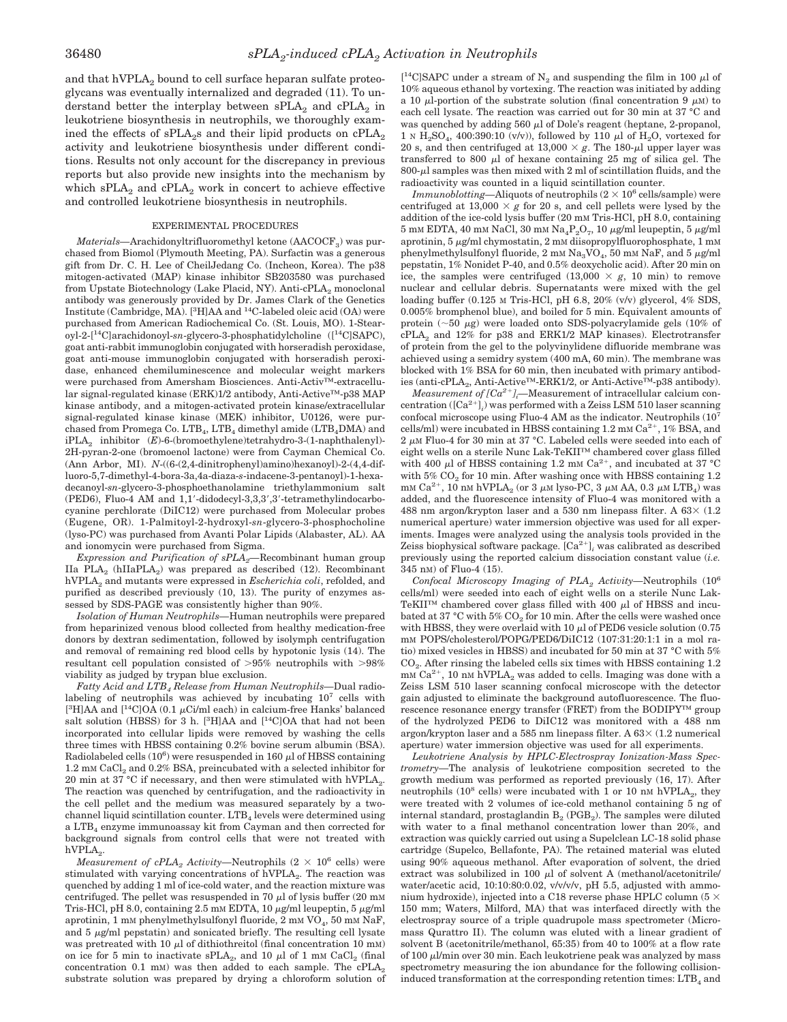and that  $hVPLA<sub>2</sub>$  bound to cell surface heparan sulfate proteoglycans was eventually internalized and degraded (11). To understand better the interplay between  $\text{sPLA}_2$  and  $\text{cPLA}_2$  in leukotriene biosynthesis in neutrophils, we thoroughly examined the effects of  $sPLA_2s$  and their lipid products on  $cPLA_2$ activity and leukotriene biosynthesis under different conditions. Results not only account for the discrepancy in previous reports but also provide new insights into the mechanism by which  $\text{sPLA}_2$  and  $\text{cPLA}_2$  work in concert to achieve effective and controlled leukotriene biosynthesis in neutrophils.

### EXPERIMENTAL PROCEDURES

*Materials*—Arachidonyltrifluoromethyl ketone (AACOCF<sub>3</sub>) was purchased from Biomol (Plymouth Meeting, PA). Surfactin was a generous gift from Dr. C. H. Lee of CheilJedang Co. (Incheon, Korea). The p38 mitogen-activated (MAP) kinase inhibitor SB203580 was purchased from Upstate Biotechnology (Lake Placid, NY). Anti-cPLA<sub>2</sub> monoclonal antibody was generously provided by Dr. James Clark of the Genetics Institute (Cambridge, MA). [<sup>3</sup>H]AA and <sup>14</sup>C-labeled oleic acid (OA) were purchased from American Radiochemical Co. (St. Louis, MO). 1-Stearoyl-2-[14C]arachidonoyl-*sn*-glycero-3-phosphatidylcholine ([14C]SAPC), goat anti-rabbit immunoglobin conjugated with horseradish peroxidase, goat anti-mouse immunoglobin conjugated with horseradish peroxidase, enhanced chemiluminescence and molecular weight markers were purchased from Amersham Biosciences. Anti-Activ™-extracellular signal-regulated kinase (ERK)1/2 antibody, Anti-Active™-p38 MAP kinase antibody, and a mitogen-activated protein kinase/extracellular signal-regulated kinase kinase (MEK) inhibitor, U0126, were purchased from Promega Co. LTB<sub>4</sub>, LTB<sub>4</sub> dimethyl amide (LTB<sub>4</sub>DMA) and iPLA2 inhibitor (*E*)-6-(bromoethylene)tetrahydro-3-(1-naphthalenyl)- 2H-pyran-2-one (bromoenol lactone) were from Cayman Chemical Co. (Ann Arbor, MI). *N*-((6-(2,4-dinitrophenyl)amino)hexanoyl)-2-(4,4-difluoro-5,7-dimethyl-4-bora-3a,4a-diaza-*s*-indacene-3-pentanoyl)-1-hexadecanoyl-*sn*-glycero-3-phosphoethanolamine triethylammonium salt (PED6), Fluo-4 AM and 1,1'-didodecyl-3,3,3',3'-tetramethylindocarbocyanine perchlorate (DiIC12) were purchased from Molecular probes (Eugene, OR). 1-Palmitoyl-2-hydroxyl-*sn*-glycero-3-phosphocholine (lyso-PC) was purchased from Avanti Polar Lipids (Alabaster, AL). AA and ionomycin were purchased from Sigma.

*Expression and Purification of sPLA2—*Recombinant human group IIa PLA<sub>2</sub> (hIIaPLA<sub>2</sub>) was prepared as described (12). Recombinant hVPLA2 and mutants were expressed in *Escherichia coli*, refolded, and purified as described previously (10, 13). The purity of enzymes assessed by SDS-PAGE was consistently higher than 90%.

*Isolation of Human Neutrophils—*Human neutrophils were prepared from heparinized venous blood collected from healthy medication-free donors by dextran sedimentation, followed by isolymph centrifugation and removal of remaining red blood cells by hypotonic lysis (14). The resultant cell population consisted of  $>95\%$  neutrophils with  $>98\%$ viability as judged by trypan blue exclusion.

*Fatty Acid and LTB4 Release from Human Neutrophils—*Dual radiolabeling of neutrophils was achieved by incubating 10<sup>7</sup> cells with [<sup>3</sup>H]AA and [<sup>14</sup>C]OA (0.1  $\mu$ Ci/ml each) in calcium-free Hanks' balanced salt solution (HBSS) for 3 h. [<sup>3</sup>H]AA and [<sup>14</sup>C]OA that had not been incorporated into cellular lipids were removed by washing the cells three times with HBSS containing 0.2% bovine serum albumin (BSA). Radiolabeled cells  $(10^6)$  were resuspended in 160  $\mu$ l of HBSS containing 1.2 mM CaCl<sub>2</sub> and 0.2% BSA, preincubated with a selected inhibitor for 20 min at 37 °C if necessary, and then were stimulated with  $hVPLA<sub>2</sub>$ . The reaction was quenched by centrifugation, and the radioactivity in the cell pellet and the medium was measured separately by a twochannel liquid scintillation counter.  $LTB<sub>4</sub>$  levels were determined using a LTB<sub>4</sub> enzyme immunoassay kit from Cayman and then corrected for background signals from control cells that were not treated with  $hVPLA<sub>2</sub>$ .

*Measurement of cPLA<sub>2</sub> Activity*—Neutrophils  $(2 \times 10^6 \text{ cells})$  were stimulated with varying concentrations of hVPLA<sub>2</sub>. The reaction was quenched by adding 1 ml of ice-cold water, and the reaction mixture was centrifuged. The pellet was resuspended in 70  $\mu$ l of lysis buffer (20 mM Tris-HCl, pH 8.0, containing 2.5 mm EDTA, 10  $\mu$ g/ml leupeptin, 5  $\mu$ g/ml aprotinin, 1 mM phenylmethylsulfonyl fluoride,  $2 \text{ mM VO}_4$ , 50 mM NaF, and  $5 \mu g/ml$  pepstatin) and sonicated briefly. The resulting cell lysate was pretreated with 10  $\mu$ l of dithiothreitol (final concentration 10 mM) on ice for 5 min to inactivate sPLA<sub>2</sub>, and 10  $\mu$ l of 1 mM CaCl<sub>2</sub> (final concentration 0.1 mM) was then added to each sample. The  $cPLA_2$ substrate solution was prepared by drying a chloroform solution of

[<sup>14</sup>C]SAPC under a stream of  $N_2$  and suspending the film in 100  $\mu$ l of 10% aqueous ethanol by vortexing. The reaction was initiated by adding a 10  $\mu$ -portion of the substrate solution (final concentration 9  $\mu$ M) to each cell lysate. The reaction was carried out for 30 min at 37 °C and was quenched by adding 560  $\mu$ l of Dole's reagent (heptane, 2-propanol, 1 N H<sub>2</sub>SO<sub>4</sub>, 400:390:10 (v/v)), followed by 110  $\mu$ l of H<sub>2</sub>O, vortexed for 20 s, and then centrifuged at  $13,000 \times g$ . The 180- $\mu$ l upper layer was transferred to 800  $\mu$ l of hexane containing 25 mg of silica gel. The  $800-\mu$  samples was then mixed with 2 ml of scintillation fluids, and the radioactivity was counted in a liquid scintillation counter.

*Immunoblotting—Aliquots of neutrophils*  $(2 \times 10^6 \text{ cells/sample})$  were centrifuged at 13,000  $\times$  g for 20 s, and cell pellets were lysed by the addition of the ice-cold lysis buffer (20 mM Tris-HCl, pH 8.0, containing 5 mM EDTA, 40 mM NaCl, 30 mM Na<sub>4</sub>P<sub>2</sub>O<sub>7</sub>, 10  $\mu$ g/ml leupeptin, 5  $\mu$ g/ml aprotinin,  $5 \mu\text{g/ml}$  chymostatin,  $2 \text{ mM}$  diisopropylfluorophosphate,  $1 \text{ mM}$ phenylmethylsulfonyl fluoride,  $2$  mm  $\rm Na_3VO_4,$   $50$  mm  $\rm NaF,$  and  $5$   $\mu{\rm g}/{\rm ml}$ pepstatin, 1% Nonidet P-40, and 0.5% deoxycholic acid). After 20 min on ice, the samples were centrifuged  $(13,000 \times g, 10 \text{ min})$  to remove nuclear and cellular debris. Supernatants were mixed with the gel loading buffer (0.125 M Tris-HCl, pH 6.8, 20% (v/v) glycerol, 4% SDS, 0.005% bromphenol blue), and boiled for 5 min. Equivalent amounts of protein  $(\sim 50 \ \mu g)$  were loaded onto SDS-polyacrylamide gels (10% of cPLA<sub>2</sub> and 12% for p38 and ERK1/2 MAP kinases). Electrotransfer of protein from the gel to the polyvinylidene difluoride membrane was achieved using a semidry system (400 mA, 60 min). The membrane was blocked with 1% BSA for 60 min, then incubated with primary antibodies (anti-cPLA<sub>2</sub>, Anti-Active<sup>™</sup>-ERK1/2, or Anti-Active<sup>™</sup>-p38 antibody).

*Measurement of [Ca<sup>2+</sup>]<sub>i</sub>—Measurement of intracellular calcium con*centration  $([Ca^{2+}]_i)$  was performed with a Zeiss LSM 510 laser scanning confocal microscope using Fluo-4 AM as the indicator. Neutrophils (107 cells/ml) were incubated in HBSS containing  $1.2 \text{ mm } \text{Ca}^{2+}$ ,  $1\%$  BSA, and 2  $\mu$ M Fluo-4 for 30 min at 37 °C. Labeled cells were seeded into each of eight wells on a sterile Nunc Lak-TeKII™ chambered cover glass filled with 400  $\mu$ l of HBSS containing 1.2 mm Ca<sup>2+</sup>, and incubated at 37 °C with  $5\%$  CO<sub>2</sub> for 10 min. After washing once with HBSS containing 1.2 mm Ca<sup>2+</sup>, 10 nm hVPLA<sub>2</sub> (or 3  $\mu$ m lyso-PC, 3  $\mu$ m AA, 0.3  $\mu$ m LTB<sub>4</sub>) was added, and the fluorescence intensity of Fluo-4 was monitored with a 488 nm argon/krypton laser and a 530 nm linepass filter. A  $63 \times (1.2)$ numerical aperture) water immersion objective was used for all experiments. Images were analyzed using the analysis tools provided in the Zeiss biophysical software package.  $[Ca^{2+}]$ <sub>i</sub> was calibrated as described previously using the reported calcium dissociation constant value (*i.e.* 345 nM) of Fluo-4 (15).

*Confocal Microscopy Imaging of PLA<sub>2</sub> Activity*—Neutrophils (10<sup>6</sup> cells/ml) were seeded into each of eight wells on a sterile Nunc Lak-TeKII<sup>™</sup> chambered cover glass filled with 400  $\mu$ l of HBSS and incubated at 37 °C with 5%  $CO<sub>2</sub>$  for 10 min. After the cells were washed once with HBSS, they were overlaid with 10  $\mu$ l of PED6 vesicle solution (0.75 mM POPS/cholesterol/POPG/PED6/DiIC12 (107:31:20:1:1 in a mol ratio) mixed vesicles in HBSS) and incubated for 50 min at 37 °C with 5%  $CO<sub>2</sub>$ . After rinsing the labeled cells six times with HBSS containing 1.2  $\text{mM Ca}^{2+}$ , 10 nM hVPLA<sub>2</sub> was added to cells. Imaging was done with a Zeiss LSM 510 laser scanning confocal microscope with the detector gain adjusted to eliminate the background autofluorescence. The fluorescence resonance energy transfer (FRET) from the BODIPY™ group of the hydrolyzed PED6 to DiIC12 was monitored with a 488 nm argon/krypton laser and a 585 nm linepass filter. A  $63 \times (1.2$  numerical aperture) water immersion objective was used for all experiments.

*Leukotriene Analysis by HPLC-Electrospray Ionization-Mass Spectrometry—*The analysis of leukotriene composition secreted to the growth medium was performed as reported previously (16, 17). After neutrophils  $(10^8 \text{ cells})$  were incubated with 1 or 10 nM hVPLA<sub>2</sub>, they were treated with 2 volumes of ice-cold methanol containing 5 ng of internal standard, prostaglandin  $B_2$  (PGB<sub>2</sub>). The samples were diluted with water to a final methanol concentration lower than 20%, and extraction was quickly carried out using a Supelclean LC-18 solid phase cartridge (Supelco, Bellafonte, PA). The retained material was eluted using 90% aqueous methanol. After evaporation of solvent, the dried extract was solubilized in 100  $\mu$ l of solvent A (methanol/acetonitrile/ water/acetic acid, 10:10:80:0.02, v/v/v/v, pH 5.5, adjusted with ammonium hydroxide), injected into a C18 reverse phase HPLC column (5  $\times$ 150 mm; Waters, Milford, MA) that was interfaced directly with the electrospray source of a triple quadrupole mass spectrometer (Micromass Qurattro II). The column was eluted with a linear gradient of solvent B (acetonitrile/methanol, 65:35) from 40 to 100% at a flow rate of  $100 \mu l/min$  over  $30 \text{ min}$ . Each leukotriene peak was analyzed by mass spectrometry measuring the ion abundance for the following collisioninduced transformation at the corresponding retention times: LTB4 and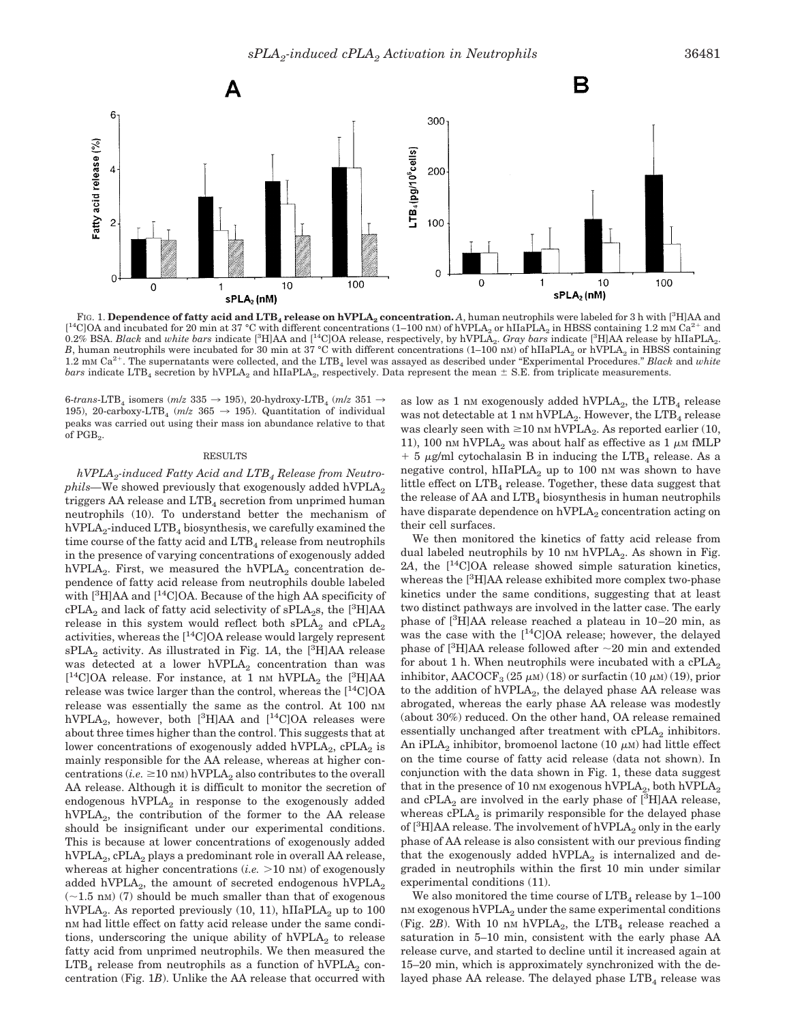

F1G. 1. Dependence of fatty acid and LTB<sub>4</sub> release on hVPLA<sub>2</sub> concentration. A, human neutrophils were labeled for 3 h with [<sup>3</sup>H]AA and  $[{}^{14}$ CJOA and incubated for 20 min at 37 °C with different concentrations (1–100 nm) of hVPLA<sub>2</sub> or hIIaPLA<sub>2</sub> in HBSS containing 1.2 mm Ca<sup>2+</sup> and 0.2% BSA. *Black* and *white bars* indicate [<sup>3</sup>H]AA and [<sup>14</sup>C]OA rel *B*, human neutrophils were incubated for 30 min at 37 °C with different concentrations (1–100 nM) of hIIaPLA<sub>2</sub> or hVPLA<sub>2</sub> in HBSS containing 1.2 mM Ca2. The supernatants were collected, and the LTB4 level was assayed as described under "Experimental Procedures." *Black* and *white bars* indicate LTB<sub>4</sub> secretion by hVPLA<sub>2</sub> and hIIaPLA<sub>2</sub>, respectively. Data represent the mean  $\pm$  S.E. from triplicate measurements.

6-*trans*-LTB<sub>4</sub> isomers ( $m/z$  335  $\rightarrow$  195), 20-hydroxy-LTB<sub>4</sub> ( $m/z$  351  $\rightarrow$ 195), 20-carboxy-LTB<sub>4</sub> ( $m/z$  365  $\rightarrow$  195). Quantitation of individual peaks was carried out using their mass ion abundance relative to that of PGB<sub>2</sub>.

#### RESULTS

*hVPLA2-induced Fatty Acid and LTB4 Release from Neutrophils*—We showed previously that exogenously added hVPLA<sub>2</sub> triggers AA release and  $LTB<sub>4</sub>$  secretion from unprimed human neutrophils (10). To understand better the mechanism of  $hVPLA_2$ -induced  $LTB_4$  biosynthesis, we carefully examined the time course of the fatty acid and  $LTB<sub>4</sub>$  release from neutrophils in the presence of varying concentrations of exogenously added hVPLA<sub>2</sub>. First, we measured the hVPLA<sub>2</sub> concentration dependence of fatty acid release from neutrophils double labeled with [<sup>3</sup>H]AA and [<sup>14</sup>C]OA. Because of the high AA specificity of  $cPLA_2$  and lack of fatty acid selectivity of  $sPLA_2s$ , the  $[^3H]AA$ release in this system would reflect both  $\text{sPLA}_2$  and  $\text{cPLA}_2$ activities, whereas the  $[$ <sup>14</sup>C $]$ OA release would largely represent sPLA<sub>2</sub> activity. As illustrated in Fig. 1A, the <sup>[3</sup>H]AA release was detected at a lower  $hVPLA<sub>2</sub>$  concentration than was  $[{}^{14}$ C]OA release. For instance, at 1 nm hVPLA<sub>2</sub> the  $[{}^{3}$ H]AA release was twice larger than the control, whereas the  $[$ <sup>14</sup>C $]$ OA release was essentially the same as the control. At 100 nM hVPLA<sub>2</sub>, however, both  $[^{3}H]AA$  and  $[^{14}C]OA$  releases were about three times higher than the control. This suggests that at lower concentrations of exogenously added hVPLA<sub>2</sub>,  $cPLA_2$  is mainly responsible for the AA release, whereas at higher con- $\text{centrations}$  (*i.e.*  $\geq 10 \text{ nm}$ ) hVPLA<sub>2</sub> also contributes to the overall AA release. Although it is difficult to monitor the secretion of endogenous  $hVPLA<sub>2</sub>$  in response to the exogenously added hVPLA<sub>2</sub>, the contribution of the former to the AA release should be insignificant under our experimental conditions. This is because at lower concentrations of exogenously added hVPLA<sub>2</sub>, cPLA<sub>2</sub> plays a predominant role in overall AA release, whereas at higher concentrations  $(i.e. > 10 \text{ nm})$  of exogenously added hVPLA<sub>2</sub>, the amount of secreted endogenous hVPLA<sub>2</sub>  $(\sim 1.5 \text{ nm})$  (7) should be much smaller than that of exogenous hVPLA<sub>2</sub>. As reported previously  $(10, 11)$ , hIIaPLA<sub>2</sub> up to 100 nM had little effect on fatty acid release under the same conditions, underscoring the unique ability of hVPLA<sub>2</sub> to release fatty acid from unprimed neutrophils. We then measured the  $LTB<sub>4</sub>$  release from neutrophils as a function of hVPLA<sub>2</sub> concentration (Fig. 1*B*). Unlike the AA release that occurred with as low as 1 nm exogenously added hVPLA<sub>2</sub>, the LTB<sub>4</sub> release was not detectable at 1 nm hVPLA<sub>2</sub>. However, the LTB<sub>4</sub> release was clearly seen with  $\geq 10$  nm hVPLA<sub>2</sub>. As reported earlier (10, 11), 100 nm hVPLA<sub>2</sub> was about half as effective as 1  $\mu$ m fMLP  $+$  5  $\mu$ g/ml cytochalasin B in inducing the LTB<sub>4</sub> release. As a negative control,  $hIIaPLA_2$  up to 100 nm was shown to have little effect on  $LTB<sub>4</sub>$  release. Together, these data suggest that the release of  $AA$  and  $LTB<sub>4</sub>$  biosynthesis in human neutrophils have disparate dependence on  $hVPLA<sub>2</sub>$  concentration acting on their cell surfaces.

We then monitored the kinetics of fatty acid release from dual labeled neutrophils by 10 nm hVPLA $_2$ . As shown in Fig. 2*A*, the [14C]OA release showed simple saturation kinetics, whereas the [<sup>3</sup>H]AA release exhibited more complex two-phase kinetics under the same conditions, suggesting that at least two distinct pathways are involved in the latter case. The early phase of [3 H]AA release reached a plateau in 10–20 min, as was the case with the  $[$ <sup>14</sup>C]OA release; however, the delayed phase of  $[3H]AA$  release followed after  $\sim$ 20 min and extended for about 1 h. When neutrophils were incubated with a  $\text{cPLA}_2$ inhibitor,  $\text{AACOCF}_3$  (25  $\mu$ M) (18) or surfactin (10  $\mu$ M) (19), prior to the addition of  $hVPLA<sub>2</sub>$ , the delayed phase AA release was abrogated, whereas the early phase AA release was modestly (about 30%) reduced. On the other hand, OA release remained essentially unchanged after treatment with  $cPLA_2$  inhibitors. An iPLA<sub>2</sub> inhibitor, bromoenol lactone (10  $\mu$ M) had little effect on the time course of fatty acid release (data not shown). In conjunction with the data shown in Fig. 1, these data suggest that in the presence of 10 nm exogenous hVPLA<sub>2</sub>, both hVPLA<sub>2</sub> and cPLA<sub>2</sub> are involved in the early phase of  $[^3H]AA$  release, whereas  $cPLA_2$  is primarily responsible for the delayed phase of  $[^{3}H]AA$  release. The involvement of  $\text{hVPLA}_2$  only in the early phase of AA release is also consistent with our previous finding that the exogenously added hVPLA<sub>2</sub> is internalized and degraded in neutrophils within the first 10 min under similar experimental conditions (11).

We also monitored the time course of  $LTB<sub>4</sub>$  release by 1–100  $n$ M exogenous  $hVPLA<sub>2</sub>$  under the same experimental conditions (Fig.  $2B$ ). With 10 nm hVPLA<sub>2</sub>, the LTB<sub>4</sub> release reached a saturation in 5–10 min, consistent with the early phase AA release curve, and started to decline until it increased again at 15–20 min, which is approximately synchronized with the delayed phase AA release. The delayed phase  $LTB<sub>4</sub>$  release was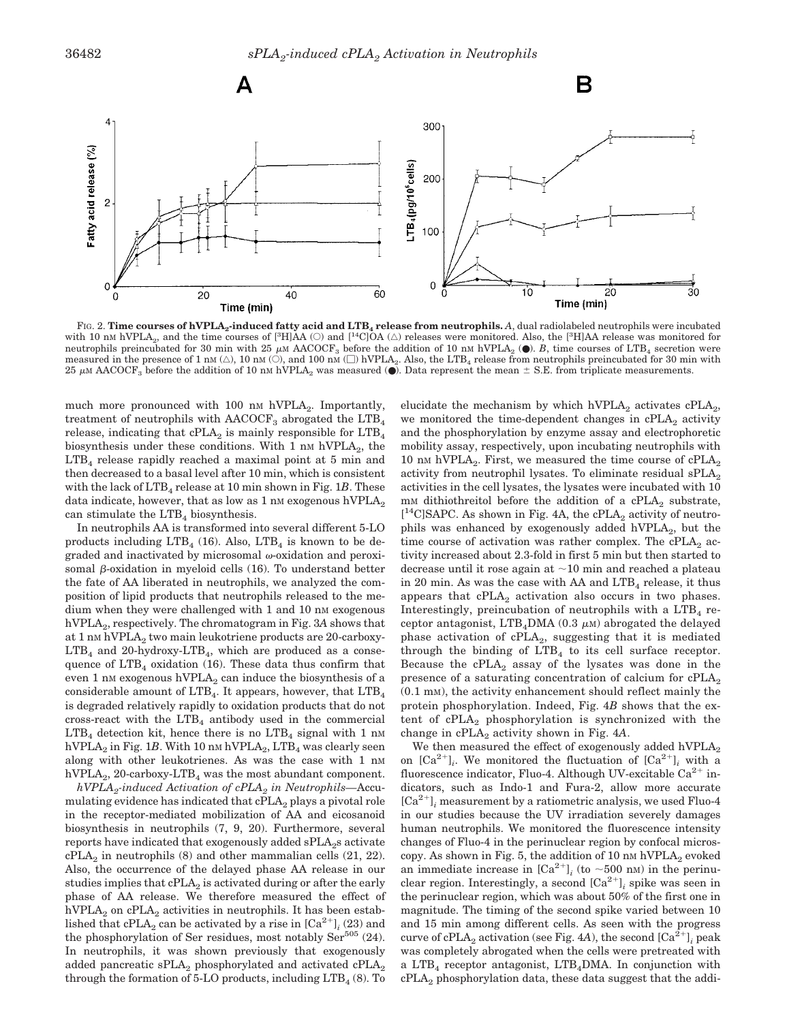

FIG. 2. Time courses of hVPLA<sub>2</sub>-induced fatty acid and LTB<sub>4</sub> release from neutrophils. A, dual radiolabeled neutrophils were incubated with 10 nm hVPLA<sub>2</sub>, and the time courses of  $[^{3}H]\AA$  (O) and  $[^{1}C]\AA$  ( $\triangle$ ) releases were monitored. Also, the  $[^{3}H]\AA$  release was monitored for neutrophils preincubated for 30 min with 25  $\mu$ M AACOCF<sub>3</sub> before the addition of 10 nM hVPLA<sub>2</sub> ( $\bullet$ ). *B*, time courses of LTB<sub>4</sub> secretion were measured in the presence of 1 nm  $(\triangle)$ , 10 nm  $(\triangle)$ , and 100 nm  $(\square)$  hVPLA<sub>2</sub>. Also, the LTB<sub>4</sub> release from neutrophils preincubated for 30 min with 25  $\mu$ M AACOCF<sub>3</sub> before the addition of 10 nm hVPLA<sub>2</sub> was measured ( $\bullet$ ). Data represent the mean  $\pm$  S.E. from triplicate measurements.

much more pronounced with 100 nm hVPLA<sub>2</sub>. Importantly, treatment of neutrophils with  $\text{AACOCF}_3$  abrogated the  $\text{LTB}_4$ release, indicating that  $cPLA_2$  is mainly responsible for  $LTB_4$ biosynthesis under these conditions. With 1  $\mu$ M hVPLA<sub>2</sub>, the  $LTB<sub>4</sub>$  release rapidly reached a maximal point at 5 min and then decreased to a basal level after 10 min, which is consistent with the lack of  $LTB<sub>4</sub>$  release at 10 min shown in Fig. 1B. These data indicate, however, that as low as  $1 \text{ nm}$  exogenous hVPLA<sub>2</sub> can stimulate the  $LTB<sub>4</sub>$  biosynthesis.

In neutrophils AA is transformed into several different 5-LO products including  $LTB<sub>4</sub>$  (16). Also,  $LTB<sub>4</sub>$  is known to be degraded and inactivated by microsomal  $\omega$ -oxidation and peroxisomal  $\beta$ -oxidation in myeloid cells (16). To understand better the fate of AA liberated in neutrophils, we analyzed the composition of lipid products that neutrophils released to the medium when they were challenged with 1 and 10 nm exogenous hVPLA2, respectively. The chromatogram in Fig. 3*A* shows that at 1 nm hVPLA<sub>2</sub> two main leukotriene products are 20-carboxy- $LTB<sub>4</sub>$  and 20-hydroxy- $LTB<sub>4</sub>$ , which are produced as a consequence of  $LTB<sub>4</sub>$  oxidation (16). These data thus confirm that even 1 nm exogenous  $hVPLA_2$  can induce the biosynthesis of a considerable amount of  $LTB<sub>4</sub>$ . It appears, however, that  $LTB<sub>4</sub>$ is degraded relatively rapidly to oxidation products that do not cross-react with the  $LTB<sub>4</sub>$  antibody used in the commercial  $LTB<sub>4</sub>$  detection kit, hence there is no  $LTB<sub>4</sub>$  signal with 1 nm hVPLA<sub>2</sub> in Fig. 1B. With 10 nm hVPLA<sub>2</sub>,  $LTB<sub>4</sub>$  was clearly seen along with other leukotrienes. As was the case with 1 nm hVPLA<sub>2</sub>, 20-carboxy-LTB<sub>4</sub> was the most abundant component.

*hVPLA2-induced Activation of cPLA2 in Neutrophils—*Accumulating evidence has indicated that  $cPLA_2$  plays a pivotal role in the receptor-mediated mobilization of AA and eicosanoid biosynthesis in neutrophils (7, 9, 20). Furthermore, several reports have indicated that exogenously added  $\text{SPLA}_2$ s activate  $cPLA_2$  in neutrophils (8) and other mammalian cells (21, 22). Also, the occurrence of the delayed phase AA release in our studies implies that  $cPLA_2$  is activated during or after the early phase of AA release. We therefore measured the effect of hVPLA<sub>2</sub> on cPLA<sub>2</sub> activities in neutrophils. It has been established that cPLA<sub>2</sub> can be activated by a rise in  $[Ca^{2+}]$ <sub>*i*</sub> (23) and the phosphorylation of Ser residues, most notably  $\text{Ser}^{505}$  (24). In neutrophils, it was shown previously that exogenously added pancreatic sPLA<sub>2</sub> phosphorylated and activated cPLA<sub>2</sub> through the formation of 5-LO products, including  $LTB<sub>4</sub>$  (8). To

elucidate the mechanism by which hVPLA<sub>2</sub> activates  $cPLA_2$ , we monitored the time-dependent changes in cPLA<sub>2</sub> activity and the phosphorylation by enzyme assay and electrophoretic mobility assay, respectively, upon incubating neutrophils with 10 nm hVPLA<sub>2</sub>. First, we measured the time course of  $cPLA_2$ activity from neutrophil lysates. To eliminate residual  $\text{SPLA}_2$ activities in the cell lysates, the lysates were incubated with 10 mm dithiothreitol before the addition of a cPLA<sub>2</sub> substrate,  $[$ <sup>14</sup>C]SAPC. As shown in Fig. 4A, the cPLA<sub>2</sub> activity of neutrophils was enhanced by exogenously added hVPLA $_2$ , but the time course of activation was rather complex. The  $cPLA_2$  activity increased about 2.3-fold in first 5 min but then started to decrease until it rose again at  $\sim$ 10 min and reached a plateau in 20 min. As was the case with AA and  $LTB<sub>4</sub>$  release, it thus appears that  $cPLA_2$  activation also occurs in two phases. Interestingly, preincubation of neutrophils with a  $LTB<sub>4</sub>$  receptor antagonist, LTB<sub>4</sub>DMA (0.3  $\mu$ M) abrogated the delayed phase activation of  $cPLA_2$ , suggesting that it is mediated through the binding of  $LTB<sub>4</sub>$  to its cell surface receptor. Because the  $cPLA_2$  assay of the lysates was done in the presence of a saturating concentration of calcium for  $\text{cPLA}_2$  $(0.1 \text{ mm})$ , the activity enhancement should reflect mainly the protein phosphorylation. Indeed, Fig. 4*B* shows that the extent of  $cPLA_2$  phosphorylation is synchronized with the change in cPLA<sub>2</sub> activity shown in Fig. 4A.

We then measured the effect of exogenously added hVPLA<sub>2</sub> on  $[Ca^{2+}]_i$ . We monitored the fluctuation of  $[Ca^{2+}]_i$  with a fluorescence indicator, Fluo-4. Although UV-excitable  $Ca^{2+}$  indicators, such as Indo-1 and Fura-2, allow more accurate  $[Ca^{2+}]$ ; measurement by a ratiometric analysis, we used Fluo-4 in our studies because the UV irradiation severely damages human neutrophils. We monitored the fluorescence intensity changes of Fluo-4 in the perinuclear region by confocal microscopy. As shown in Fig. 5, the addition of 10 nm hVPLA<sub>2</sub> evoked an immediate increase in  $[\text{Ca}^{2+}]$ <sub>*i*</sub> (to ~500 nM) in the perinuclear region. Interestingly, a second  $[Ca^{2+}]$ *;* spike was seen in the perinuclear region, which was about 50% of the first one in magnitude. The timing of the second spike varied between 10 and 15 min among different cells. As seen with the progress curve of cPLA<sub>2</sub> activation (see Fig. 4*A*), the second  $[Ca^{2+}]$ , peak was completely abrogated when the cells were pretreated with a LTB<sub>4</sub> receptor antagonist, LTB<sub>4</sub>DMA. In conjunction with  $cPLA<sub>2</sub>$  phosphorylation data, these data suggest that the addi-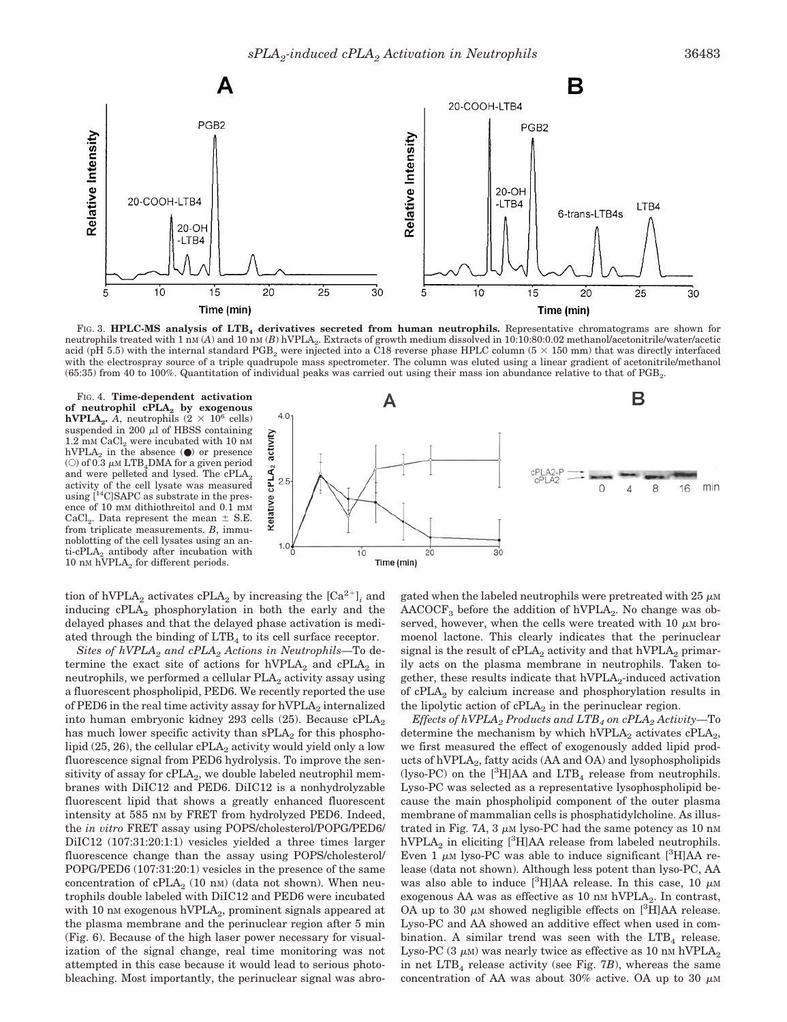

FIG. 3. HPLC-MS analysis of LTB<sub>4</sub> derivatives secreted from human neutrophils. Representative chromatograms are shown for neutrophils treated with 1 nm (*A*) and 10 nm (*B*) hVPLA<sub>2</sub>. Extracts of growth medium dissolved in 10:10:80:0.02 methanol/acetonitrile/water/acetic acid (pH 5.5) with the internal standard PGB<sub>2</sub> were injected into a C18 reverse phase HPLC column (5  $\times$  150 mm) that was directly interfaced with the electrospray source of a triple quadrupole mass spectrometer. The column was eluted using a linear gradient of acetonitrile/methanol  $(65.35)$  from 40 to 100%. Quantitation of individual peaks was carried out using their mass ion abundance relative to that of PGB<sub>2</sub>.

FIG. 4. **Time-dependent activation of neutrophil cPLA2 by exogenous hVPLA**<sub>2</sub>. A, neutrophils  $(2 \times 10^6 \text{ cells})$ suspended in 200  $\mu$ l of HBSS containing  $1.2~\mathrm{mm}$   $\mathrm{CaCl}_{2}$  were incubated with  $10~\mathrm{nm}$ hVPLA<sub>2</sub> in the absence ( $\bullet$ ) or presence ( $\circ$ ) of 0.3  $\mu$ M LTB<sub>4</sub>DMA for a given period and were pelleted and lysed. The  $\text{cPLA}_2$ activity of the cell lysate was measured using [14C]SAPC as substrate in the presence of 10 mM dithiothreitol and 0.1 mM CaCl<sub>2</sub>. Data represent the mean  $\pm$  S.E. from triplicate measurements. *B*, immunoblotting of the cell lysates using an anti-cPLA<sub>2</sub> antibody after incubation with 10 nm hVPLA<sub>2</sub> for different periods.



tion of hVPLA<sub>2</sub> activates cPLA<sub>2</sub> by increasing the  $[Ca^{2+}]$ <sub>*i*</sub> and inducing cPLA2 phosphorylation in both the early and the delayed phases and that the delayed phase activation is mediated through the binding of  $LTB<sub>4</sub>$  to its cell surface receptor.

*Sites of hVPLA2 and cPLA2 Actions in Neutrophils—*To determine the exact site of actions for  $hVPLA<sub>2</sub>$  and  $cPLA<sub>2</sub>$  in neutrophils, we performed a cellular  $PLA_2$  activity assay using a fluorescent phospholipid, PED6. We recently reported the use of PED6 in the real time activity assay for  $hVPLA<sub>2</sub>$  internalized into human embryonic kidney 293 cells (25). Because  $cPLA_2$ has much lower specific activity than  $\text{sPLA}_2$  for this phospholipid (25, 26), the cellular cPLA<sub>2</sub> activity would yield only a low fluorescence signal from PED6 hydrolysis. To improve the sensitivity of assay for cPLA<sub>2</sub>, we double labeled neutrophil membranes with DiIC12 and PED6. DiIC12 is a nonhydrolyzable fluorescent lipid that shows a greatly enhanced fluorescent intensity at 585 nM by FRET from hydrolyzed PED6. Indeed, the *in vitro* FRET assay using POPS/cholesterol/POPG/PED6/ DiIC12 (107:31:20:1:1) vesicles yielded a three times larger fluorescence change than the assay using POPS/cholesterol/ POPG/PED6 (107:31:20:1) vesicles in the presence of the same concentration of  $cPLA_2$  (10 nm) (data not shown). When neutrophils double labeled with DiIC12 and PED6 were incubated with 10 nm exogenous  $hVPLA_2$ , prominent signals appeared at the plasma membrane and the perinuclear region after 5 min (Fig. 6). Because of the high laser power necessary for visualization of the signal change, real time monitoring was not attempted in this case because it would lead to serious photobleaching. Most importantly, the perinuclear signal was abrogated when the labeled neutrophils were pretreated with  $25 \mu M$  $\text{AACOCF}_3$  before the addition of hVPLA<sub>2</sub>. No change was observed, however, when the cells were treated with  $10 \mu M$  bromoenol lactone. This clearly indicates that the perinuclear signal is the result of  $cPLA_2$  activity and that  $hVPLA_2$  primarily acts on the plasma membrane in neutrophils. Taken together, these results indicate that  $hVPLA<sub>2</sub>$ -induced activation of  $cPLA<sub>2</sub>$  by calcium increase and phosphorylation results in the lipolytic action of  $cPLA_2$  in the perinuclear region.

*Effects of hVPLA2 Products and LTB4 on cPLA2 Activity—*To determine the mechanism by which hVPLA<sub>2</sub> activates  $\text{cPLA}_2$ , we first measured the effect of exogenously added lipid products of hVPLA<sub>2</sub>, fatty acids (AA and OA) and lysophospholipids (lyso-PC) on the  $[{}^3H]AA$  and  $LTB_4$  release from neutrophils. Lyso-PC was selected as a representative lysophospholipid because the main phospholipid component of the outer plasma membrane of mammalian cells is phosphatidylcholine. As illustrated in Fig. 7A,  $3 \mu M$  lyso-PC had the same potency as 10 nm  $hVPLA_2$  in eliciting [<sup>3</sup>H]AA release from labeled neutrophils. Even  $1 \mu$ M lyso-PC was able to induce significant [<sup>3</sup>H]AA release (data not shown). Although less potent than lyso-PC, AA was also able to induce [ ${}^{3}$ H]AA release. In this case, 10  $\mu$ M exogenous AA was as effective as  $10 \text{ nm}$  hVPLA<sub>2</sub>. In contrast, OA up to 30  $\mu$ M showed negligible effects on [<sup>3</sup>H]AA release. Lyso-PC and AA showed an additive effect when used in combination. A similar trend was seen with the  $LTB<sub>4</sub>$  release. Lyso-PC  $(3 \mu M)$  was nearly twice as effective as 10 nm hVPLA<sub>2</sub> in net  $LTB<sub>4</sub>$  release activity (see Fig. 7*B*), whereas the same concentration of AA was about 30% active. OA up to 30  $\mu$ M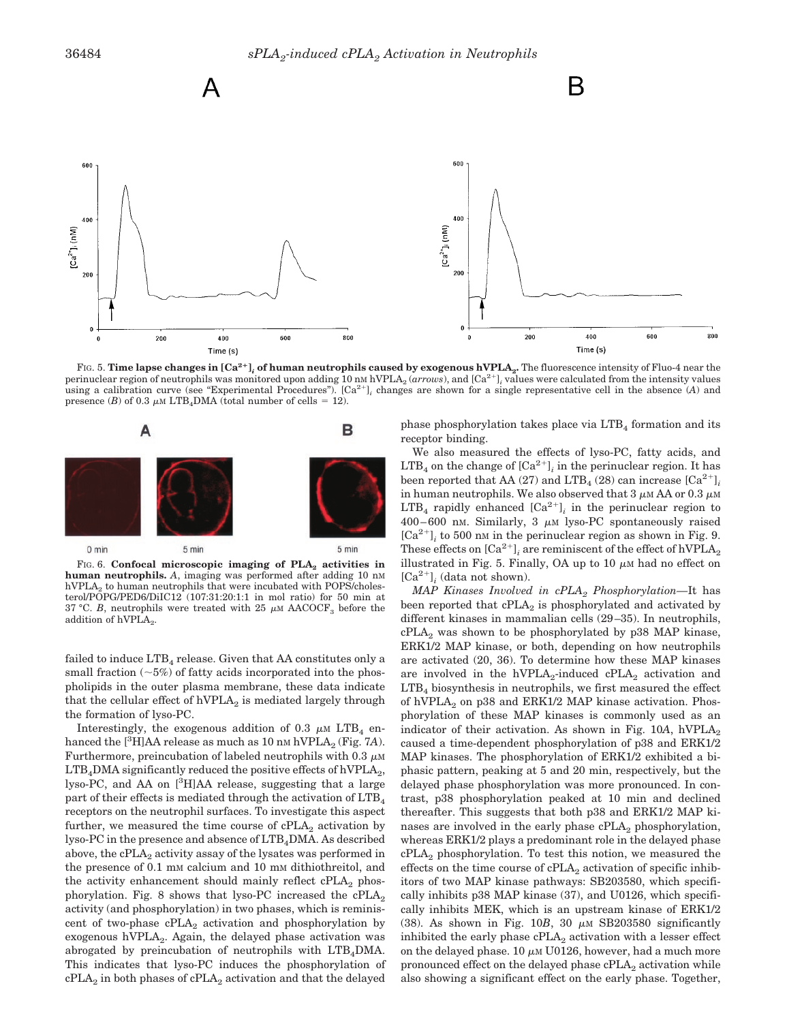

FIG. 5. Time lapse changes in [Ca<sup>2+</sup>], of human neutrophils caused by exogenous hVPLA<sub>2</sub>. The fluorescence intensity of Fluo-4 near the perinuclear region of neutrophils was monitored upon adding 10 nm hVPLA<sub>2</sub> (*arrows*), and [Ca<sup>2+</sup>]<sub>i</sub> values were calculated from the intensity values using a calibration curve (see "Experimental Procedures").  $[Ca^{2+}]_i$  changes are shown for a single representative cell in the absence (*A*) and presence (*B*) of 0.3  $\mu$ M LTB<sub>4</sub>DMA (total number of cells = 12).



FIG. 6. **Confocal microscopic imaging of PLA<sub>2</sub> activities in human neutrophils.** *A*, imaging was performed after adding 10 nM  $hVPLA<sub>2</sub>$  to human neutrophils that were incubated with POPS/cholesterol/POPG/PED6/DiIC12 (107:31:20:1:1 in mol ratio) for 50 min at 37 °C. *B*, neutrophils were treated with 25  $\mu$ M AACOCF<sub>3</sub> before the addition of  $hVPLA<sub>2</sub>$ .

failed to induce  $LTB<sub>4</sub>$  release. Given that AA constitutes only a small fraction  $(-5%)$  of fatty acids incorporated into the phospholipids in the outer plasma membrane, these data indicate that the cellular effect of  $hVPLA<sub>2</sub>$  is mediated largely through the formation of lyso-PC.

Interestingly, the exogenous addition of 0.3  $\mu$ M LTB<sub>4</sub> enhanced the [<sup>3</sup>H]AA release as much as 10 nm hVPLA<sub>2</sub> (Fig. 7A). Furthermore, preincubation of labeled neutrophils with  $0.3 \mu M$  $LTB<sub>4</sub>DMA$  significantly reduced the positive effects of hVPLA<sub>2</sub>, lyso-PC, and AA on [<sup>3</sup>H]AA release, suggesting that a large part of their effects is mediated through the activation of LTB<sub>4</sub> receptors on the neutrophil surfaces. To investigate this aspect further, we measured the time course of  $cPLA_2$  activation by lyso-PC in the presence and absence of LTB<sub>4</sub>DMA. As described above, the  $cPLA_2$  activity assay of the lysates was performed in the presence of 0.1 mm calcium and 10 mm dithiothreitol, and the activity enhancement should mainly reflect  $cPLA_2$  phosphorylation. Fig. 8 shows that lyso-PC increased the  $cPLA_2$ activity (and phosphorylation) in two phases, which is reminiscent of two-phase  $cPLA_2$  activation and phosphorylation by exogenous  $hVPLA<sub>2</sub>$ . Again, the delayed phase activation was abrogated by preincubation of neutrophils with  $LTB<sub>4</sub>DMA$ . This indicates that lyso-PC induces the phosphorylation of  $cPLA<sub>2</sub>$  in both phases of  $cPLA<sub>2</sub>$  activation and that the delayed phase phosphorylation takes place via  $LTB<sub>4</sub>$  formation and its receptor binding.

We also measured the effects of lyso-PC, fatty acids, and  $LTB<sub>4</sub>$  on the change of  $[Ca<sup>2+</sup>]$ <sub>i</sub> in the perinuclear region. It has been reported that AA (27) and LTB<sub>4</sub> (28) can increase  $[Ca^{2+}]$ <sub>*i*</sub> in human neutrophils. We also observed that  $3 \mu M$  AA or  $0.3 \mu M$ LTB<sub>4</sub> rapidly enhanced  $[Ca^{2+}]$ <sub>*i*</sub> in the perinuclear region to  $400-600$  nm. Similarly, 3  $\mu$ m lyso-PC spontaneously raised  $[Ca^{2+}]$ <sub>i</sub> to 500 nm in the perinuclear region as shown in Fig. 9. These effects on  $[Ca^{2+}]$ <sub>*i*</sub> are reminiscent of the effect of hVPLA<sub>2</sub> illustrated in Fig. 5. Finally, OA up to 10  $\mu$ M had no effect on  $[Ca^{2+}]$ <sub>*i*</sub> (data not shown).

*MAP Kinases Involved in cPLA2 Phosphorylation—*It has been reported that  $cPLA_2$  is phosphorylated and activated by different kinases in mammalian cells (29–35). In neutrophils,  $cPLA<sub>2</sub>$  was shown to be phosphorylated by p38 MAP kinase, ERK1/2 MAP kinase, or both, depending on how neutrophils are activated (20, 36). To determine how these MAP kinases are involved in the hVPLA<sub>2</sub>-induced cPLA<sub>2</sub> activation and  $LTB<sub>4</sub>$  biosynthesis in neutrophils, we first measured the effect of hVPLA<sub>2</sub> on p38 and ERK1/2 MAP kinase activation. Phosphorylation of these MAP kinases is commonly used as an indicator of their activation. As shown in Fig.  $10A$ , hVPLA<sub>2</sub> caused a time-dependent phosphorylation of p38 and ERK1/2 MAP kinases. The phosphorylation of ERK1/2 exhibited a biphasic pattern, peaking at 5 and 20 min, respectively, but the delayed phase phosphorylation was more pronounced. In contrast, p38 phosphorylation peaked at 10 min and declined thereafter. This suggests that both p38 and ERK1/2 MAP kinases are involved in the early phase  $cPLA_2$  phosphorylation, whereas ERK1/2 plays a predominant role in the delayed phase  $cPLA<sub>2</sub>$  phosphorylation. To test this notion, we measured the effects on the time course of  $cPLA_2$  activation of specific inhibitors of two MAP kinase pathways: SB203580, which specifically inhibits p38 MAP kinase (37), and U0126, which specifically inhibits MEK, which is an upstream kinase of ERK1/2 (38). As shown in Fig.  $10B$ ,  $30 \mu M$  SB203580 significantly inhibited the early phase  $cPLA_2$  activation with a lesser effect on the delayed phase.  $10 \mu M$  U0126, however, had a much more pronounced effect on the delayed phase cPLA<sub>2</sub> activation while also showing a significant effect on the early phase. Together,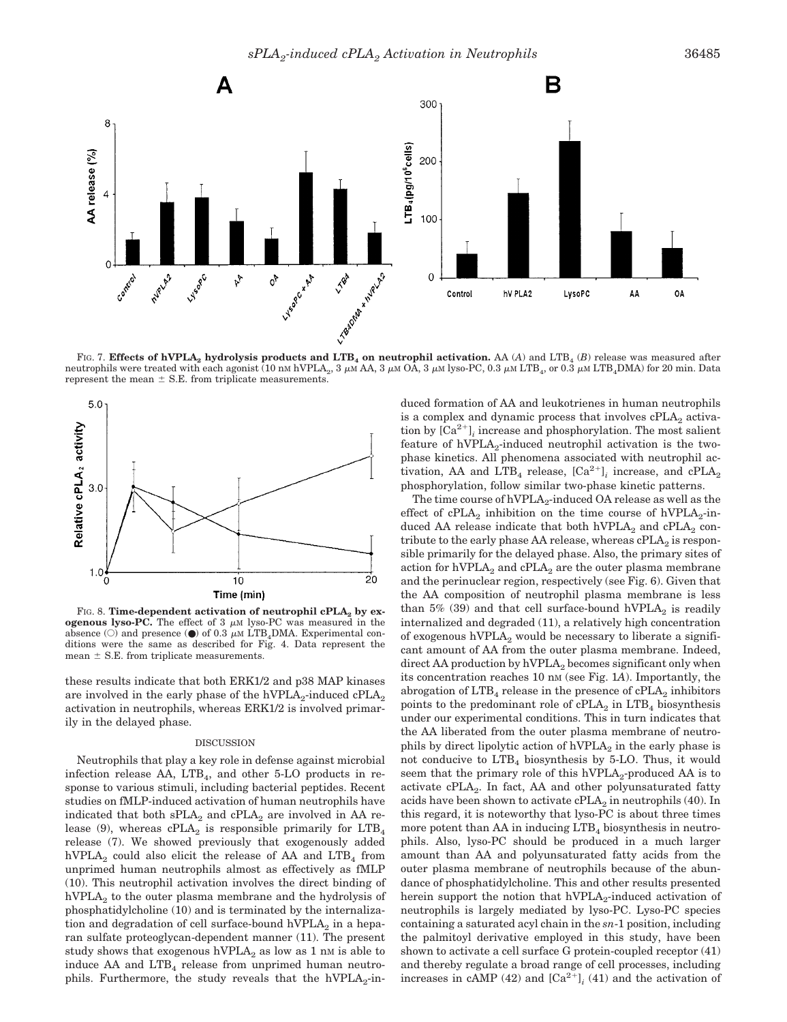

FIG. 7. **Effects of hVPLA<sub>2</sub> hydrolysis products and LTB<sub>4</sub> on neutrophil activation.** AA (A) and LTB<sub>4</sub> (B) release was measured after neutrophils were treated with each agonist (10 nm hVPLA<sub>2</sub>, 3  $\mu$ m AA, 3  $\mu$ m OA, 3  $\mu$ m lyso-PC, 0.3  $\mu$ m LTB<sub>4</sub>, or 0.3  $\mu$ m LTB<sub>4</sub>DMA) for 20 min. Data represent the mean  $\pm$  S.E. from triplicate measurements.



FIG. 8. **Time-dependent activation of neutrophil cPLA<sub>2</sub> by exogenous lyso-PC.** The effect of  $3 \mu M$  lyso-PC was measured in the absence (O) and presence ( $\bullet$ ) of 0.3  $\mu$ M LTB<sub>4</sub>DMA. Experimental conditions were the same as described for Fig. 4. Data represent the mean  $\pm$  S.E. from triplicate measurements.

these results indicate that both ERK1/2 and p38 MAP kinases are involved in the early phase of the hVPLA<sub>2</sub>-induced  $cPLA_2$ activation in neutrophils, whereas ERK1/2 is involved primarily in the delayed phase.

#### DISCUSSION

Neutrophils that play a key role in defense against microbial infection release  $AA$ ,  $LTB<sub>4</sub>$ , and other 5-LO products in response to various stimuli, including bacterial peptides. Recent studies on fMLP-induced activation of human neutrophils have indicated that both  $sPLA_2$  and  $cPLA_2$  are involved in AA release (9), whereas  $cPLA_2$  is responsible primarily for  $LTB_4$ release (7). We showed previously that exogenously added hVPLA<sub>2</sub> could also elicit the release of AA and  $LTB<sub>4</sub>$  from unprimed human neutrophils almost as effectively as fMLP (10). This neutrophil activation involves the direct binding of  $hVPLA<sub>2</sub>$  to the outer plasma membrane and the hydrolysis of phosphatidylcholine (10) and is terminated by the internalization and degradation of cell surface-bound hVPLA $_2$  in a heparan sulfate proteoglycan-dependent manner (11). The present study shows that exogenous hVPLA<sub>2</sub> as low as 1 nm is able to induce AA and  $LTB<sub>4</sub>$  release from unprimed human neutrophils. Furthermore, the study reveals that the  $hVPLA<sub>2</sub>-in-$  duced formation of AA and leukotrienes in human neutrophils is a complex and dynamic process that involves  $cPLA<sub>2</sub>$  activation by  $[Ca^{2+}]$ <sub>*i*</sub> increase and phosphorylation. The most salient feature of  $hVPLA_2$ -induced neutrophil activation is the twophase kinetics. All phenomena associated with neutrophil activation, AA and LTB<sub>4</sub> release,  $[Ca^{2+}]$ <sub>i</sub> increase, and cPLA<sub>2</sub> phosphorylation, follow similar two-phase kinetic patterns.

The time course of  $hVPLA<sub>2</sub>$ -induced OA release as well as the effect of cPLA<sub>2</sub> inhibition on the time course of hVPLA<sub>2</sub>-induced AA release indicate that both  $hVPLA<sub>2</sub>$  and  $cPLA<sub>2</sub>$  contribute to the early phase AA release, whereas  $cPLA_2$  is responsible primarily for the delayed phase. Also, the primary sites of action for  $hVPLA<sub>2</sub>$  and  $cPLA<sub>2</sub>$  are the outer plasma membrane and the perinuclear region, respectively (see Fig. 6). Given that the AA composition of neutrophil plasma membrane is less than 5% (39) and that cell surface-bound hVPLA<sub>2</sub> is readily internalized and degraded (11), a relatively high concentration of exogenous hVPLA<sub>2</sub> would be necessary to liberate a significant amount of AA from the outer plasma membrane. Indeed, direct AA production by  $hVPLA<sub>2</sub>$  becomes significant only when its concentration reaches 10 nM (see Fig. 1*A*). Importantly, the abrogation of  $LTB<sub>4</sub>$  release in the presence of  $cPLA<sub>2</sub>$  inhibitors points to the predominant role of  $cPLA_2$  in  $LTB_4$  biosynthesis under our experimental conditions. This in turn indicates that the AA liberated from the outer plasma membrane of neutrophils by direct lipolytic action of  $hVPLA<sub>2</sub>$  in the early phase is not conducive to  $LTB<sub>4</sub>$  biosynthesis by 5-LO. Thus, it would seem that the primary role of this  $hVPLA<sub>2</sub>$ -produced AA is to activate  $cPLA_2$ . In fact, AA and other polyunsaturated fatty acids have been shown to activate  $cPLA_2$  in neutrophils (40). In this regard, it is noteworthy that lyso-PC is about three times more potent than AA in inducing  $LTB<sub>4</sub>$  biosynthesis in neutrophils. Also, lyso-PC should be produced in a much larger amount than AA and polyunsaturated fatty acids from the outer plasma membrane of neutrophils because of the abundance of phosphatidylcholine. This and other results presented herein support the notion that  $hVPLA<sub>2</sub>$ -induced activation of neutrophils is largely mediated by lyso-PC. Lyso-PC species containing a saturated acyl chain in the *sn*-1 position, including the palmitoyl derivative employed in this study, have been shown to activate a cell surface G protein-coupled receptor (41) and thereby regulate a broad range of cell processes, including increases in cAMP (42) and  $\lbrack Ca^{2+} \rbrack$  (41) and the activation of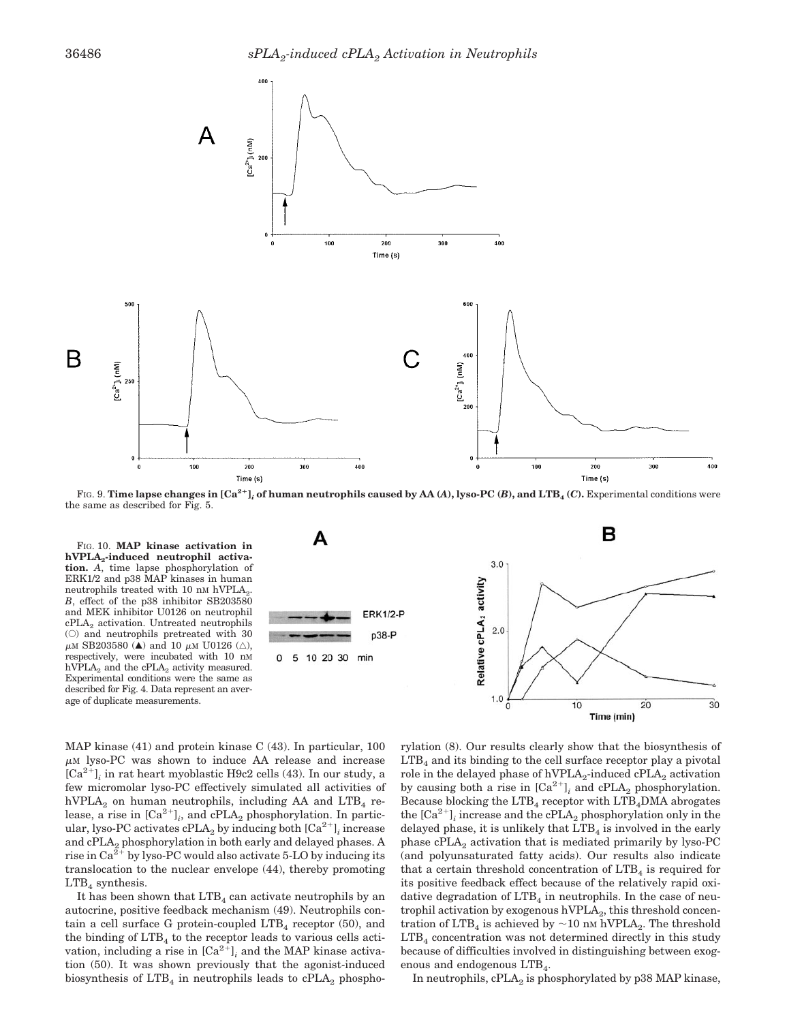

FIG. 9. **Time lapse changes in**  $[Ca^{2+}]$ **, of human neutrophils caused by AA (A), lyso-PC (B), and LTB<sub>4</sub> (C). Experimental conditions were** the same as described for Fig. 5.

FIG. 10. **MAP kinase activation in hVPLA2-induced neutrophil activation.** *A*, time lapse phosphorylation of ERK1/2 and p38 MAP kinases in human neutrophils treated with 10 nm hVPLA<sub>2</sub>. *B*, effect of the p38 inhibitor SB203580 and MEK inhibitor U0126 on neutrophil cPLA<sub>2</sub> activation. Untreated neutrophils (E) and neutrophils pretreated with 30  $\mu$ M SB203580 ( $\triangle$ ) and 10  $\mu$ M U0126 ( $\triangle$ ), respectively, were incubated with 10 nM hVPLA<sub>2</sub> and the cPLA<sub>2</sub> activity measured. Experimental conditions were the same as described for Fig. 4. Data represent an average of duplicate measurements.

в A  $3.0$ Relative cPLA<sub>2</sub> activity **ERK1/2-P**  $2.0$ p38-P 5 10 20 30 min  $1.0$  $10$ 20  $30$ 

MAP kinase (41) and protein kinase C (43). In particular, 100  $\mu$ M lyso-PC was shown to induce AA release and increase  $[Ca^{2+}]$ ; in rat heart myoblastic H9c2 cells (43). In our study, a few micromolar lyso-PC effectively simulated all activities of hVPLA<sub>2</sub> on human neutrophils, including AA and LTB<sub>4</sub> release, a rise in  $\left[\text{Ca}^{2+}\right]_i$ , and cPLA<sub>2</sub> phosphorylation. In particular, lyso-PC activates  $cPLA_2$  by inducing both  $[Ca^{2+}]$ <sub>*i*</sub> increase and cPLA<sub>2</sub> phosphorylation in both early and delayed phases. A rise in  $Ca^{2+}$  by lyso-PC would also activate 5-LO by inducing its translocation to the nuclear envelope (44), thereby promoting  $LTB<sub>4</sub>$  synthesis.

It has been shown that  $LTB<sub>4</sub>$  can activate neutrophils by an autocrine, positive feedback mechanism (49). Neutrophils contain a cell surface G protein-coupled  $LTB<sub>4</sub>$  receptor (50), and the binding of  $LTB<sub>4</sub>$  to the receptor leads to various cells activation, including a rise in  $\lbrack Ca^{2+} \rbrack$  and the MAP kinase activation (50). It was shown previously that the agonist-induced biosynthesis of  $LTB<sub>4</sub>$  in neutrophils leads to  $cPLA<sub>2</sub>$  phospho-

rylation (8). Our results clearly show that the biosynthesis of  $LTB<sub>4</sub>$  and its binding to the cell surface receptor play a pivotal role in the delayed phase of hVPLA<sub>2</sub>-induced cPLA<sub>2</sub> activation by causing both a rise in  $[Ca^{2+}]$ <sub>*i*</sub> and cPLA<sub>2</sub> phosphorylation. Because blocking the  $LTB<sub>4</sub>$  receptor with  $LTB<sub>4</sub>DMA$  abrogates the  $[Ca^{2+}]$ ; increase and the cPLA<sub>2</sub> phosphorylation only in the delayed phase, it is unlikely that  $LTB<sub>4</sub>$  is involved in the early phase cPLA2 activation that is mediated primarily by lyso-PC (and polyunsaturated fatty acids). Our results also indicate that a certain threshold concentration of  $LTB<sub>4</sub>$  is required for its positive feedback effect because of the relatively rapid oxidative degradation of  $LTB<sub>4</sub>$  in neutrophils. In the case of neutrophil activation by exogenous  $hVPLA<sub>2</sub>$ , this threshold concentration of LTB<sub>4</sub> is achieved by  $\sim$  10 nm hVPLA<sub>2</sub>. The threshold  $LTB<sub>4</sub>$  concentration was not determined directly in this study because of difficulties involved in distinguishing between exogenous and endogenous  $LTB<sub>4</sub>$ .

Time (min)

In neutrophils,  $cPLA_2$  is phosphorylated by p38 MAP kinase,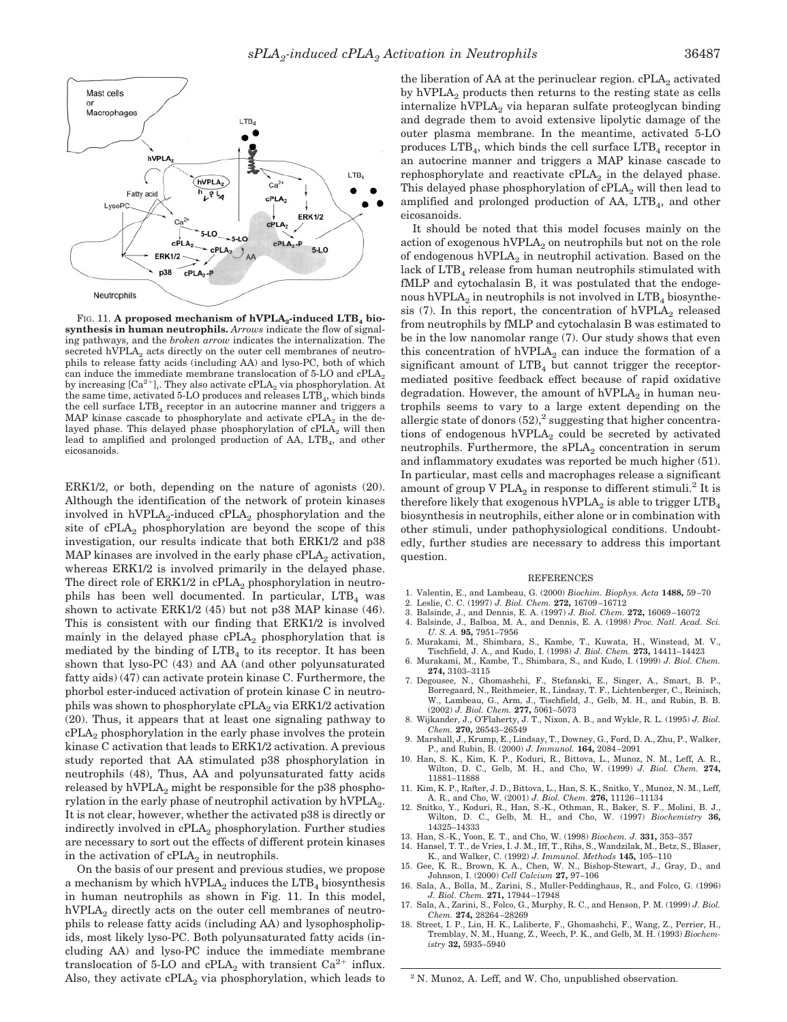

FIG. 11. A proposed mechanism of hVPLA<sub>2</sub>-induced LTB<sub>4</sub> bio**synthesis in human neutrophils.** *Arrows* indicate the flow of signaling pathways, and the *broken arrow* indicates the internalization. The secreted hVPLA $_2$  acts directly on the outer cell membranes of neutrophils to release fatty acids (including AA) and lyso-PC, both of which can induce the immediate membrane translocation of 5-LO and  $\text{cPLA}_2$ by increasing  $[Ca^{2+}]_i$ . They also activate cPLA<sub>2</sub> via phosphorylation. At the same time, activated 5-LO produces and releases LTB<sub>4</sub>, which binds the cell surface  $LTB<sub>4</sub>$  receptor in an autocrine manner and triggers a MAP kinase cascade to phosphorylate and activate  $cPLA_2$  in the delayed phase. This delayed phase phosphorylation of  $cPLA<sub>2</sub>$  will then lead to amplified and prolonged production of  $AA$ ,  $LTB<sub>4</sub>$ , and other eicosanoids.

ERK1/2, or both, depending on the nature of agonists (20). Although the identification of the network of protein kinases involved in  $hVPLA_2$ -induced  $cPLA_2$  phosphorylation and the site of  $cPLA_2$  phosphorylation are beyond the scope of this investigation, our results indicate that both ERK1/2 and p38 MAP kinases are involved in the early phase  $cPLA<sub>2</sub>$  activation, whereas ERK1/2 is involved primarily in the delayed phase. The direct role of  $ERK1/2$  in  $cPLA_2$  phosphorylation in neutrophils has been well documented. In particular,  $LTB<sub>4</sub>$  was shown to activate ERK1/2 (45) but not p38 MAP kinase (46). This is consistent with our finding that ERK1/2 is involved mainly in the delayed phase  $cPLA_2$  phosphorylation that is mediated by the binding of  $LTB<sub>4</sub>$  to its receptor. It has been shown that lyso-PC (43) and AA (and other polyunsaturated fatty aids) (47) can activate protein kinase C. Furthermore, the phorbol ester-induced activation of protein kinase C in neutrophils was shown to phosphorylate  $cPLA_2$  via  $ERK1/2$  activation (20). Thus, it appears that at least one signaling pathway to  $cPLA<sub>2</sub>$  phosphorylation in the early phase involves the protein kinase C activation that leads to ERK1/2 activation. A previous study reported that AA stimulated p38 phosphorylation in neutrophils (48), Thus, AA and polyunsaturated fatty acids released by  $hVPLA<sub>2</sub>$  might be responsible for the p38 phosphorylation in the early phase of neutrophil activation by  $hVPLA<sub>2</sub>$ . It is not clear, however, whether the activated p38 is directly or indirectly involved in  $cPLA_2$  phosphorylation. Further studies are necessary to sort out the effects of different protein kinases in the activation of  $cPLA_2$  in neutrophils.

On the basis of our present and previous studies, we propose a mechanism by which hVPLA<sub>2</sub> induces the  $LTB<sub>4</sub>$  biosynthesis in human neutrophils as shown in Fig. 11. In this model, hVPLA<sub>2</sub> directly acts on the outer cell membranes of neutrophils to release fatty acids (including AA) and lysophospholipids, most likely lyso-PC. Both polyunsaturated fatty acids (including AA) and lyso-PC induce the immediate membrane translocation of 5-LO and cPLA<sub>2</sub> with transient  $Ca^{2+}$  influx. Also, they activate  $cPLA_2$  via phosphorylation, which leads to the liberation of AA at the perinuclear region.  $\text{cPLA}_2$  activated by  $hVPLA<sub>2</sub>$  products then returns to the resting state as cells internalize  $hVPLA<sub>2</sub>$  via heparan sulfate proteoglycan binding and degrade them to avoid extensive lipolytic damage of the outer plasma membrane. In the meantime, activated 5-LO produces  $LTB_4$ , which binds the cell surface  $LTB_4$  receptor in an autocrine manner and triggers a MAP kinase cascade to rephosphorylate and reactivate  $cPLA_2$  in the delayed phase. This delayed phase phosphorylation of  $cPLA_2$  will then lead to amplified and prolonged production of AA,  $LTB<sub>4</sub>$ , and other eicosanoids.

It should be noted that this model focuses mainly on the action of exogenous  $hVPLA_2$  on neutrophils but not on the role of endogenous  $hVPLA<sub>2</sub>$  in neutrophil activation. Based on the lack of  $LTB<sub>4</sub>$  release from human neutrophils stimulated with fMLP and cytochalasin B, it was postulated that the endogenous hVPLA<sub>2</sub> in neutrophils is not involved in  $LTB<sub>4</sub>$  biosynthesis (7). In this report, the concentration of  $hVPLA<sub>2</sub>$  released from neutrophils by fMLP and cytochalasin B was estimated to be in the low nanomolar range (7). Our study shows that even this concentration of  $hVPLA<sub>2</sub>$  can induce the formation of a significant amount of  $LTB<sub>4</sub>$  but cannot trigger the receptormediated positive feedback effect because of rapid oxidative degradation. However, the amount of  $hVPLA<sub>2</sub>$  in human neutrophils seems to vary to a large extent depending on the allergic state of donors  $(52)^2$  suggesting that higher concentrations of endogenous  $hVPLA_2$  could be secreted by activated neutrophils. Furthermore, the  $sPLA_2$  concentration in serum and inflammatory exudates was reported be much higher (51). In particular, mast cells and macrophages release a significant amount of group V PLA<sub>2</sub> in response to different stimuli.<sup>2</sup> It is therefore likely that exogenous hVPLA<sub>2</sub> is able to trigger  $LTB<sub>4</sub>$ biosynthesis in neutrophils, either alone or in combination with other stimuli, under pathophysiological conditions. Undoubtedly, further studies are necessary to address this important question.

#### REFERENCES

- 1. Valentin, E., and Lambeau, G. (2000) *Biochim. Biophys. Acta* **1488,** 59–70
- 2. Leslie, C. C. (1997) *J. Biol. Chem.* **272,** 16709–16712
- 3. Balsinde, J., and Dennis, E. A. (1997) *J. Biol. Chem.* **272,** 16069–16072
- 4. Balsinde, J., Balboa, M. A., and Dennis, E. A. (1998) *Proc. Natl. Acad. Sci. U. S. A.* **95,** 7951–7956
- 5. Murakami, M., Shimbara, S., Kambe, T., Kuwata, H., Winstead, M. V., Tischfield, J. A., and Kudo, I. (1998) *J. Biol. Chem.* **273,** 14411–14423
- 6. Murakami, M., Kambe, T., Shimbara, S., and Kudo, I. (1999) *J. Biol. Chem.* **274,** 3103–3115
- 7. Degousee, N., Ghomashchi, F., Stefanski, E., Singer, A., Smart, B. P., Borregaard, N., Reithmeier, R., Lindsay, T. F., Lichtenberger, C., Reinisch, W., Lambeau, G., Arm, J., Tischfield, J., Gelb, M. H., and Rubin, B. B. (2002) *J. Biol. Chem.* **277,** 5061–5073
- 8. Wijkander, J., O'Flaherty, J. T., Nixon, A. B., and Wykle, R. L. (1995) *J. Biol. Chem.* **270,** 26543–26549
- 9. Marshall, J., Krump, E., Lindsay, T., Downey, G., Ford, D. A., Zhu, P., Walker, P., and Rubin, B. (2000) *J. Immunol.* **164,** 2084–2091
- 10. Han, S. K., Kim, K. P., Koduri, R., Bittova, L., Munoz, N. M., Leff, A. R., Wilton, D. C., Gelb, M. H., and Cho, W. (1999) *J. Biol. Chem.* **274,** 11881–11888
- 11. Kim, K. P., Rafter, J. D., Bittova, L., Han, S. K., Snitko, Y., Munoz, N. M., Leff, A. R., and Cho, W. (2001) *J. Biol. Chem.* **276,** 11126–11134
- 12. Snitko, Y., Koduri, R., Han, S.-K., Othman, R., Baker, S. F., Molini, B. J., Wilton, D. C., Gelb, M. H., and Cho, W. (1997) *Biochemistry* **36,** 14325–14333
- 13. Han, S.-K., Yoon, E. T., and Cho, W. (1998) *Biochem. J.* **331,** 353–357
- 14. Hansel, T. T., de Vries, I. J. M., Iff, T., Rihs, S., Wandzilak, M., Betz, S., Blaser, K., and Walker, C. (1992) *J. Immunol. Methods* **145,** 105–110
- 15. Gee, K. R., Brown, K. A., Chen, W. N., Bishop-Stewart, J., Gray, D., and Johnson, I. (2000) *Cell Calcium* **27,** 97–106
- 16. Sala, A., Bolla, M., Zarini, S., Muller-Peddinghaus, R., and Folco, G. (1996) *J. Biol. Chem.* **271,** 17944–17948
- 17. Sala, A., Zarini, S., Folco, G., Murphy, R. C., and Henson, P. M. (1999) *J. Biol. Chem.* **274,** 28264–28269
- 18. Street, I. P., Lin, H. K., Laliberte, F., Ghomashchi, F., Wang, Z., Perrier, H., Tremblay, N. M., Huang, Z., Weech, P. K., and Gelb, M. H. (1993) *Biochemistry* **32,** 5935–5940

<sup>2</sup> N. Munoz, A. Leff, and W. Cho, unpublished observation.